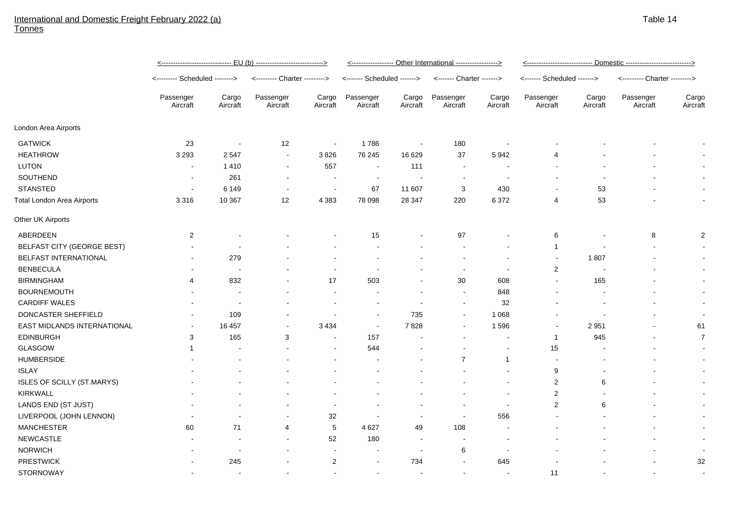## International and Domestic Freight February 2022 (a) Tonnes

|                                   | <u>&lt;----------------------------- EU (b) ----------------------------&gt;</u> |                          |                               |                          | <------------------ Other International ------------------> |                   |                           |                          | <u>&lt;---------------------------- Domestic --------------------------&gt;</u> |                   |                               |                   |
|-----------------------------------|----------------------------------------------------------------------------------|--------------------------|-------------------------------|--------------------------|-------------------------------------------------------------|-------------------|---------------------------|--------------------------|---------------------------------------------------------------------------------|-------------------|-------------------------------|-------------------|
|                                   | <-------- Scheduled -------->                                                    |                          | <--------- Charter ---------> |                          | <------- Scheduled ------->                                 |                   | <------- Charter -------> |                          | <------- Scheduled ------->                                                     |                   | <--------- Charter ---------> |                   |
|                                   | Passenger<br>Aircraft                                                            | Cargo<br>Aircraft        | Passenger<br>Aircraft         | Cargo<br>Aircraft        | Passenger<br>Aircraft                                       | Cargo<br>Aircraft | Passenger<br>Aircraft     | Cargo<br>Aircraft        | Passenger<br>Aircraft                                                           | Cargo<br>Aircraft | Passenger<br>Aircraft         | Cargo<br>Aircraft |
| London Area Airports              |                                                                                  |                          |                               |                          |                                                             |                   |                           |                          |                                                                                 |                   |                               |                   |
| <b>GATWICK</b>                    | 23                                                                               | $\blacksquare$           | 12                            | $\blacksquare$           | 1786                                                        |                   | 180                       |                          |                                                                                 |                   |                               |                   |
| <b>HEATHROW</b>                   | 3 2 9 3                                                                          | 2547                     | $\blacksquare$                | 3826                     | 76 245                                                      | 16 629            | 37                        | 5942                     | 4                                                                               |                   |                               |                   |
| <b>LUTON</b>                      | $\blacksquare$                                                                   | 1410                     | $\blacksquare$                | 557                      | $\blacksquare$                                              | 111               | $\overline{\phantom{a}}$  |                          |                                                                                 |                   |                               |                   |
| SOUTHEND                          | $\blacksquare$                                                                   | 261                      | $\blacksquare$                | $\overline{\phantom{a}}$ | $\blacksquare$                                              |                   | $\sim$                    | $\blacksquare$           |                                                                                 |                   |                               |                   |
| <b>STANSTED</b>                   | $\blacksquare$                                                                   | 6 1 4 9                  | $\blacksquare$                | $\blacksquare$           | 67                                                          | 11 607            | 3                         | 430                      |                                                                                 | 53                |                               | $\blacksquare$    |
| Total London Area Airports        | 3 3 1 6                                                                          | 10 367                   | 12                            | 4 3 8 3                  | 78 098                                                      | 28 347            | 220                       | 6372                     | 4                                                                               | 53                |                               | $\blacksquare$    |
| Other UK Airports                 |                                                                                  |                          |                               |                          |                                                             |                   |                           |                          |                                                                                 |                   |                               |                   |
| ABERDEEN                          | $\overline{2}$                                                                   |                          |                               |                          | 15                                                          |                   | 97                        |                          | 6                                                                               |                   | 8                             | $\overline{2}$    |
| <b>BELFAST CITY (GEORGE BEST)</b> |                                                                                  |                          |                               |                          |                                                             |                   |                           |                          | $\mathbf{1}$                                                                    |                   |                               |                   |
| BELFAST INTERNATIONAL             | $\overline{\phantom{a}}$                                                         | 279                      |                               |                          |                                                             |                   |                           | $\overline{\phantom{a}}$ | $\sim$                                                                          | 1807              | $\blacksquare$                | $\blacksquare$    |
| <b>BENBECULA</b>                  |                                                                                  | $\overline{\phantom{a}}$ |                               |                          |                                                             |                   | $\overline{\phantom{a}}$  | $\blacksquare$           | $\sqrt{2}$                                                                      |                   |                               | $\blacksquare$    |
| <b>BIRMINGHAM</b>                 | 4                                                                                | 832                      |                               | 17                       | 503                                                         |                   | 30                        | 608                      | $\blacksquare$                                                                  | 165               |                               | $\blacksquare$    |
| <b>BOURNEMOUTH</b>                |                                                                                  | $\overline{\phantom{a}}$ |                               | $\blacksquare$           | $\blacksquare$                                              |                   | $\blacksquare$            | 848                      |                                                                                 |                   |                               | $\blacksquare$    |
| <b>CARDIFF WALES</b>              |                                                                                  | $\blacksquare$           |                               | $\blacksquare$           | $\overline{\phantom{a}}$                                    |                   | $\sim$                    | 32                       | $\overline{a}$                                                                  |                   |                               | $\blacksquare$    |
| DONCASTER SHEFFIELD               |                                                                                  | 109                      | $\overline{\phantom{a}}$      |                          | $\blacksquare$                                              | 735               | $\blacksquare$            | 1 0 6 8                  | $\overline{\phantom{a}}$                                                        |                   |                               | $\blacksquare$    |
| EAST MIDLANDS INTERNATIONAL       | $\sim$                                                                           | 16 457                   | $\blacksquare$                | 3 4 3 4                  | $\sim$                                                      | 7828              | $\sim$                    | 1596                     | $\blacksquare$                                                                  | 2 9 5 1           | $\blacksquare$                | 61                |
| <b>EDINBURGH</b>                  | 3                                                                                | 165                      | 3                             | $\sim$                   | 157                                                         |                   | $\sim$                    | $\blacksquare$           | $\mathbf{1}$                                                                    | 945               | $\blacksquare$                | $\overline{7}$    |
| <b>GLASGOW</b>                    |                                                                                  | $\sim$                   |                               | $\sim$                   | 544                                                         |                   |                           | $\overline{\phantom{a}}$ | 15                                                                              |                   |                               | $\sim$            |
| <b>HUMBERSIDE</b>                 |                                                                                  | $\blacksquare$           |                               | $\blacksquare$           |                                                             |                   | $\overline{7}$            | 1                        | $\overline{\phantom{a}}$                                                        |                   |                               | $\blacksquare$    |
| <b>ISLAY</b>                      |                                                                                  |                          |                               |                          |                                                             |                   |                           | $\overline{a}$           | 9                                                                               |                   |                               | $\blacksquare$    |
| ISLES OF SCILLY (ST.MARYS)        |                                                                                  |                          |                               |                          |                                                             |                   |                           | $\overline{\phantom{a}}$ | $\boldsymbol{2}$                                                                | $\,6\,$           |                               | $\blacksquare$    |
| KIRKWALL                          |                                                                                  |                          |                               |                          |                                                             |                   |                           | $\overline{a}$           | $\boldsymbol{2}$                                                                |                   |                               | $\sim$            |
| LANDS END (ST JUST)               |                                                                                  |                          |                               | $\overline{\phantom{a}}$ |                                                             |                   | $\blacksquare$            | $\overline{a}$           | $\boldsymbol{2}$                                                                | $\,6\,$           |                               | $\blacksquare$    |
| LIVERPOOL (JOHN LENNON)           |                                                                                  |                          | $\blacksquare$                | 32                       | $\overline{\phantom{a}}$                                    |                   | $\overline{\phantom{a}}$  | 556                      |                                                                                 |                   | ٠                             | $\sim$            |
| <b>MANCHESTER</b>                 | 60                                                                               | 71                       | 4                             | $\,$ 5 $\,$              | 4 6 27                                                      | 49                | 108                       |                          |                                                                                 |                   |                               | $\blacksquare$    |
| <b>NEWCASTLE</b>                  |                                                                                  | $\overline{\phantom{a}}$ | $\blacksquare$                | 52                       | 180                                                         |                   | $\sim$                    |                          |                                                                                 |                   |                               | $\blacksquare$    |
| <b>NORWICH</b>                    |                                                                                  | $\blacksquare$           |                               |                          |                                                             |                   | $\,6\,$                   |                          |                                                                                 |                   |                               |                   |
| <b>PRESTWICK</b>                  |                                                                                  | 245                      |                               | $\overline{2}$           |                                                             | 734               | $\sim$                    | 645                      |                                                                                 |                   |                               | 32                |
| <b>STORNOWAY</b>                  | $\overline{a}$                                                                   |                          |                               | $\overline{a}$           | $\sim$                                                      |                   | $\blacksquare$            |                          | 11                                                                              |                   | $\overline{a}$                |                   |